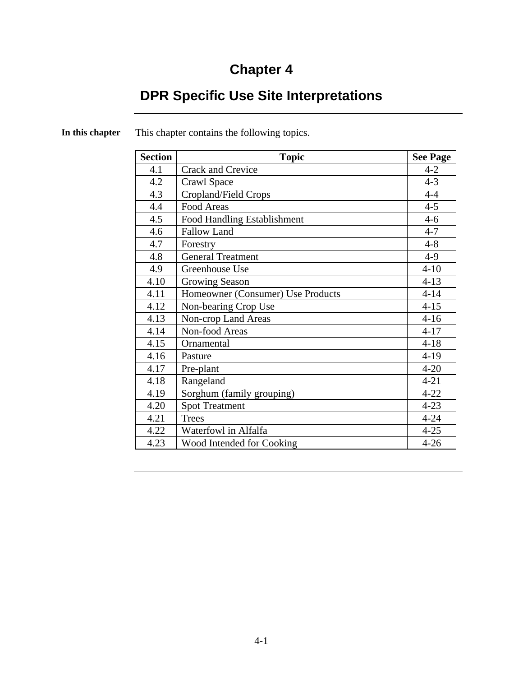# **Chapter 4**

# **DPR Specific Use Site Interpretations**

| <b>Section</b> | <b>Topic</b>                      | <b>See Page</b> |
|----------------|-----------------------------------|-----------------|
| 4.1            | Crack and Crevice                 | $4 - 2$         |
| 4.2            | Crawl Space                       | $4 - 3$         |
| 4.3            | Cropland/Field Crops              | $4 - 4$         |
| 4.4            | Food Areas                        | $4 - 5$         |
| 4.5            | Food Handling Establishment       | $4-6$           |
| 4.6            | <b>Fallow Land</b>                | $4 - 7$         |
| 4.7            | Forestry                          | $4 - 8$         |
| 4.8            | <b>General Treatment</b>          | $4-9$           |
| 4.9            | Greenhouse Use                    | $4 - 10$        |
| 4.10           | Growing Season                    | $4 - 13$        |
| 4.11           | Homeowner (Consumer) Use Products | $4 - 14$        |
| 4.12           | Non-bearing Crop Use              | $4 - 15$        |
| 4.13           | Non-crop Land Areas               | $4 - 16$        |
| 4.14           | Non-food Areas                    | $4 - 17$        |
| 4.15           | Ornamental                        | $4 - 18$        |
| 4.16           | Pasture                           | $4-19$          |
| 4.17           | Pre-plant                         | $4 - 20$        |
| 4.18           | Rangeland                         | $4 - 21$        |
| 4.19           | Sorghum (family grouping)         | $4 - 22$        |
| 4.20           | <b>Spot Treatment</b>             | $4 - 23$        |
| 4.21           | <b>Trees</b>                      | $4 - 24$        |
| 4.22           | Waterfowl in Alfalfa              | $4 - 25$        |
| 4.23           | Wood Intended for Cooking         | $4 - 26$        |

**In this chapter** This chapter contains the following topics.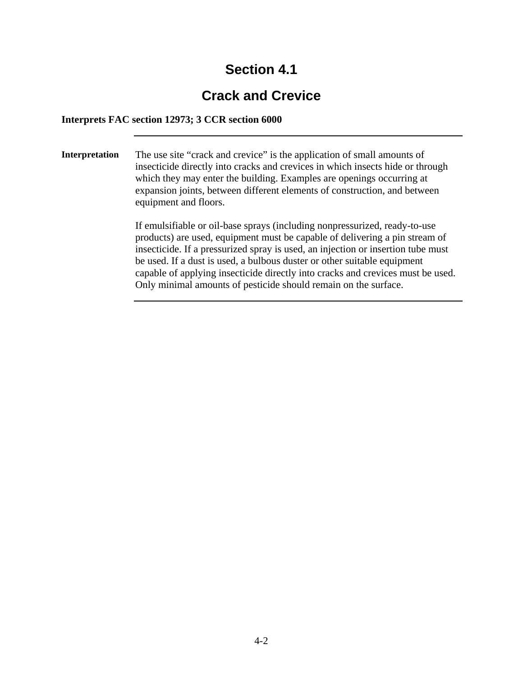# **Crack and Crevice**

#### **Interprets FAC section 12973; 3 CCR section 6000**

**Interpretation** The use site "crack and crevice" is the application of small amounts of insecticide directly into cracks and crevices in which insects hide or through which they may enter the building. Examples are openings occurring at expansion joints, between different elements of construction, and between equipment and floors.

> If emulsifiable or oil-base sprays (including nonpressurized, ready-to-use products) are used, equipment must be capable of delivering a pin stream of insecticide. If a pressurized spray is used, an injection or insertion tube must be used. If a dust is used, a bulbous duster or other suitable equipment capable of applying insecticide directly into cracks and crevices must be used. Only minimal amounts of pesticide should remain on the surface.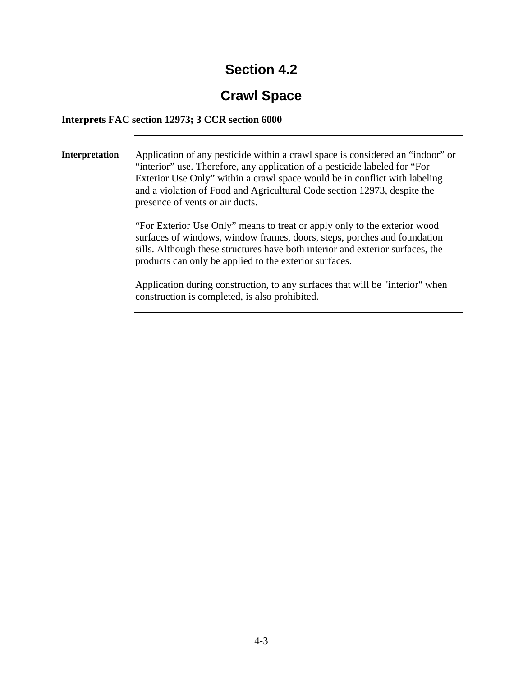# **Crawl Space**

#### **Interprets FAC section 12973; 3 CCR section 6000**

**Interpretation** Application of any pesticide within a crawl space is considered an "indoor" or "interior" use. Therefore, any application of a pesticide labeled for "For Exterior Use Only" within a crawl space would be in conflict with labeling and a violation of Food and Agricultural Code section 12973, despite the presence of vents or air ducts.

> "For Exterior Use Only" means to treat or apply only to the exterior wood surfaces of windows, window frames, doors, steps, porches and foundation sills. Although these structures have both interior and exterior surfaces, the products can only be applied to the exterior surfaces.

Application during construction, to any surfaces that will be "interior" when construction is completed, is also prohibited.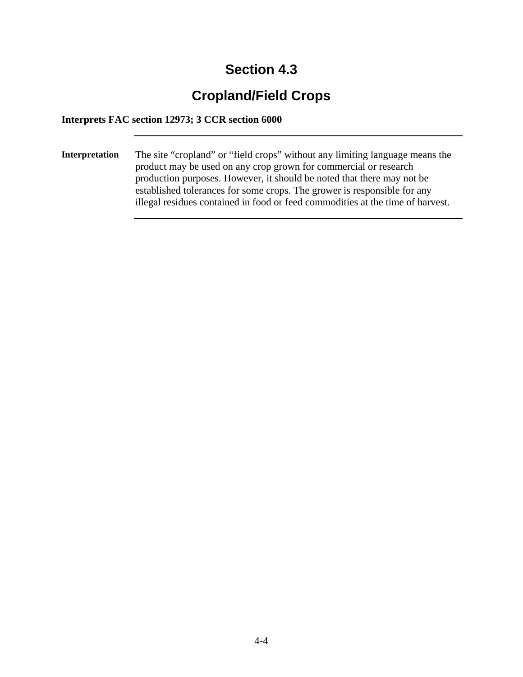# **Cropland/Field Crops**

### **Interprets FAC section 12973; 3 CCR section 6000**

**Interpretation** The site "cropland" or "field crops" without any limiting language means the product may be used on any crop grown for commercial or research production purposes. However, it should be noted that there may not be established tolerances for some crops. The grower is responsible for any illegal residues contained in food or feed commodities at the time of harvest.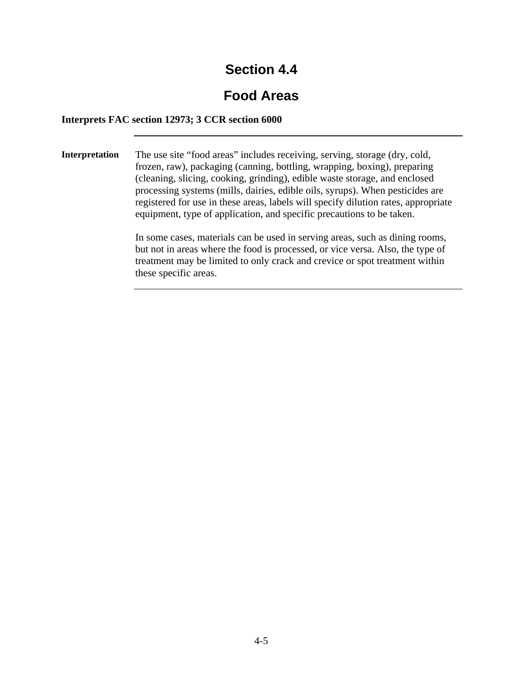# **Food Areas**

#### **Interprets FAC section 12973; 3 CCR section 6000**

**Interpretation** The use site "food areas" includes receiving, serving, storage (dry, cold, frozen, raw), packaging (canning, bottling, wrapping, boxing), preparing (cleaning, slicing, cooking, grinding), edible waste storage, and enclosed processing systems (mills, dairies, edible oils, syrups). When pesticides are registered for use in these areas, labels will specify dilution rates, appropriate equipment, type of application, and specific precautions to be taken.

> In some cases, materials can be used in serving areas, such as dining rooms, but not in areas where the food is processed, or vice versa. Also, the type of treatment may be limited to only crack and crevice or spot treatment within these specific areas.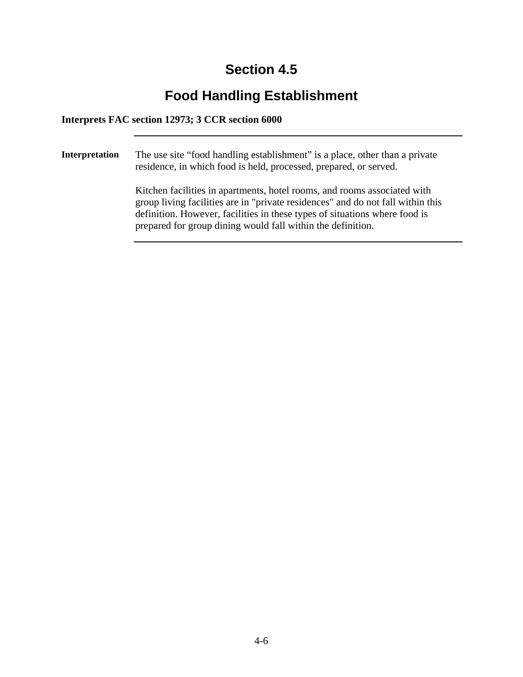# **Food Handling Establishment**

#### **Interprets FAC section 12973; 3 CCR section 6000**

**Interpretation** The use site "food handling establishment" is a place, other than a private residence, in which food is held, processed, prepared, or served. Kitchen facilities in apartments, hotel rooms, and rooms associated with group living facilities are in "private residences" and do not fall within this definition. However, facilities in these types of situations where food is prepared for group dining would fall within the definition.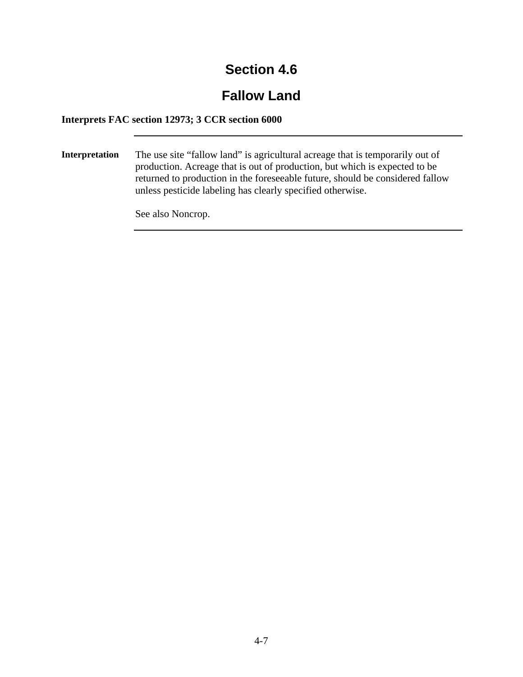# **Fallow Land**

### **Interprets FAC section 12973; 3 CCR section 6000**

**Interpretation** The use site "fallow land" is agricultural acreage that is temporarily out of production. Acreage that is out of production, but which is expected to be returned to production in the foreseeable future, should be considered fallow unless pesticide labeling has clearly specified otherwise.

See also Noncrop.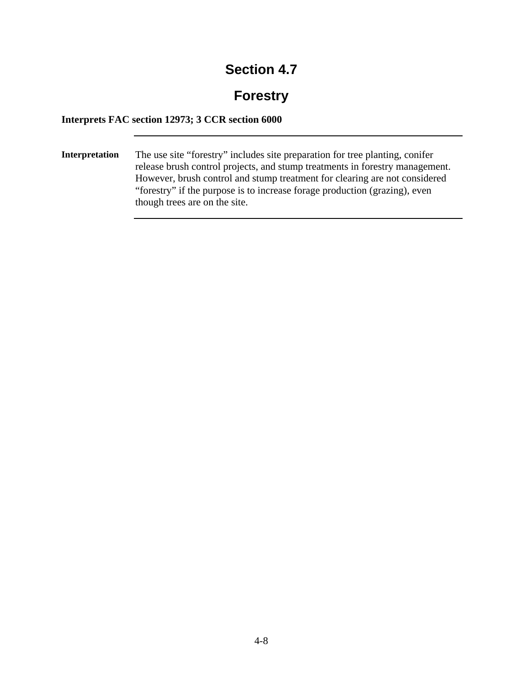# **Forestry**

### **Interprets FAC section 12973; 3 CCR section 6000**

**Interpretation** The use site "forestry" includes site preparation for tree planting, conifer release brush control projects, and stump treatments in forestry management. However, brush control and stump treatment for clearing are not considered "forestry" if the purpose is to increase forage production (grazing), even though trees are on the site.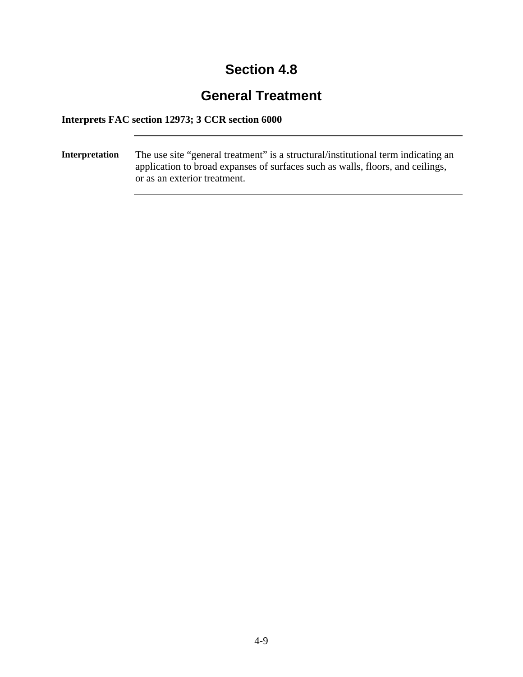# **General Treatment**

### **Interprets FAC section 12973; 3 CCR section 6000**

**Interpretation** The use site "general treatment" is a structural/institutional term indicating an application to broad expanses of surfaces such as walls, floors, and ceilings, or as an exterior treatment.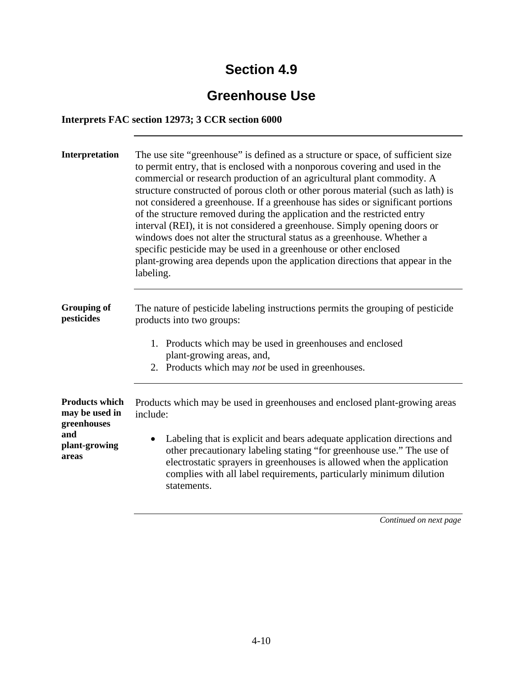# **Greenhouse Use**

### **Interprets FAC section 12973; 3 CCR section 6000**

| Interpretation                                                                          | The use site "greenhouse" is defined as a structure or space, of sufficient size<br>to permit entry, that is enclosed with a nonporous covering and used in the<br>commercial or research production of an agricultural plant commodity. A<br>structure constructed of porous cloth or other porous material (such as lath) is<br>not considered a greenhouse. If a greenhouse has sides or significant portions<br>of the structure removed during the application and the restricted entry<br>interval (REI), it is not considered a greenhouse. Simply opening doors or<br>windows does not alter the structural status as a greenhouse. Whether a<br>specific pesticide may be used in a greenhouse or other enclosed<br>plant-growing area depends upon the application directions that appear in the<br>labeling. |  |
|-----------------------------------------------------------------------------------------|-------------------------------------------------------------------------------------------------------------------------------------------------------------------------------------------------------------------------------------------------------------------------------------------------------------------------------------------------------------------------------------------------------------------------------------------------------------------------------------------------------------------------------------------------------------------------------------------------------------------------------------------------------------------------------------------------------------------------------------------------------------------------------------------------------------------------|--|
| <b>Grouping of</b><br>pesticides                                                        | The nature of pesticide labeling instructions permits the grouping of pesticide<br>products into two groups:<br>1. Products which may be used in greenhouses and enclosed<br>plant-growing areas, and,<br>2. Products which may <i>not</i> be used in greenhouses.                                                                                                                                                                                                                                                                                                                                                                                                                                                                                                                                                      |  |
| <b>Products which</b><br>may be used in<br>greenhouses<br>and<br>plant-growing<br>areas | Products which may be used in greenhouses and enclosed plant-growing areas<br>include:<br>Labeling that is explicit and bears adequate application directions and<br>$\bullet$<br>other precautionary labeling stating "for greenhouse use." The use of<br>electrostatic sprayers in greenhouses is allowed when the application<br>complies with all label requirements, particularly minimum dilution<br>statements.                                                                                                                                                                                                                                                                                                                                                                                                  |  |

*Continued on next page*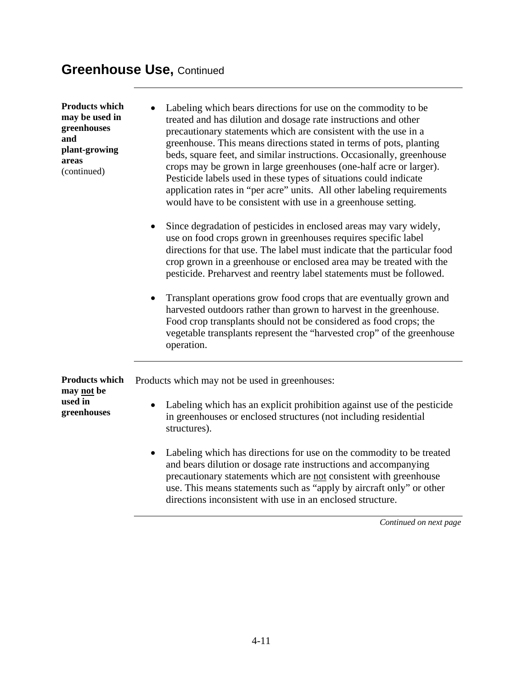### **Greenhouse Use,** Continued

**Products which may be used in greenhouses and plant-growing areas**  (continued)

**used in greenhouses** 

- Labeling which bears directions for use on the commodity to be treated and has dilution and dosage rate instructions and other precautionary statements which are consistent with the use in a greenhouse. This means directions stated in terms of pots, planting beds, square feet, and similar instructions. Occasionally, greenhouse crops may be grown in large greenhouses (one-half acre or larger). Pesticide labels used in these types of situations could indicate application rates in "per acre" units. All other labeling requirements would have to be consistent with use in a greenhouse setting.
	- Since degradation of pesticides in enclosed areas may vary widely, use on food crops grown in greenhouses requires specific label directions for that use. The label must indicate that the particular food crop grown in a greenhouse or enclosed area may be treated with the pesticide. Preharvest and reentry label statements must be followed.
	- Transplant operations grow food crops that are eventually grown and harvested outdoors rather than grown to harvest in the greenhouse. Food crop transplants should not be considered as food crops; the vegetable transplants represent the "harvested crop" of the greenhouse operation.

**Products which may not be**  Products which may not be used in greenhouses:

- Labeling which has an explicit prohibition against use of the pesticide in greenhouses or enclosed structures (not including residential structures).
- Labeling which has directions for use on the commodity to be treated and bears dilution or dosage rate instructions and accompanying precautionary statements which are not consistent with greenhouse use. This means statements such as "apply by aircraft only" or other directions inconsistent with use in an enclosed structure.

*Continued on next page*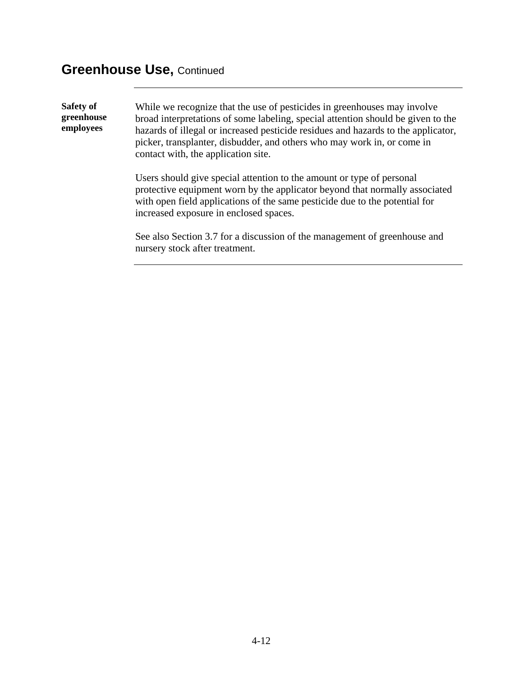### **Greenhouse Use,** Continued

**Safety of greenhouse employees**  While we recognize that the use of pesticides in greenhouses may involve broad interpretations of some labeling, special attention should be given to the hazards of illegal or increased pesticide residues and hazards to the applicator, picker, transplanter, disbudder, and others who may work in, or come in contact with, the application site. Users should give special attention to the amount or type of personal

protective equipment worn by the applicator beyond that normally associated with open field applications of the same pesticide due to the potential for increased exposure in enclosed spaces.

See also Section 3.7 for a discussion of the management of greenhouse and nursery stock after treatment.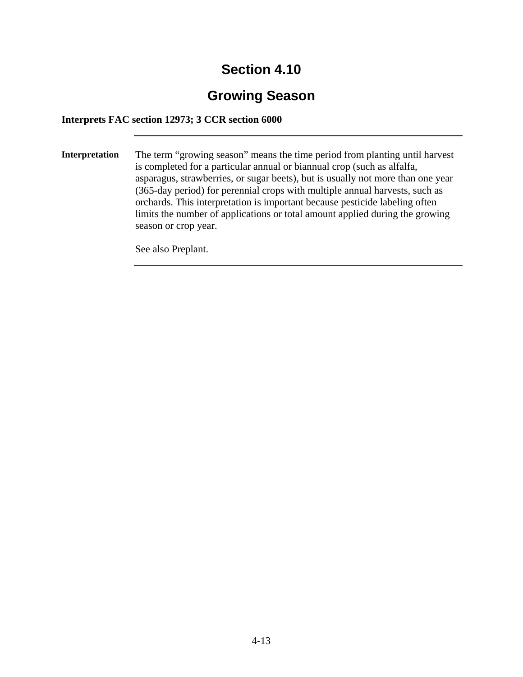# **Growing Season**

**Interprets FAC section 12973; 3 CCR section 6000** 

**Interpretation** The term "growing season" means the time period from planting until harvest is completed for a particular annual or biannual crop (such as alfalfa, asparagus, strawberries, or sugar beets), but is usually not more than one year (365-day period) for perennial crops with multiple annual harvests, such as orchards. This interpretation is important because pesticide labeling often limits the number of applications or total amount applied during the growing season or crop year.

See also Preplant.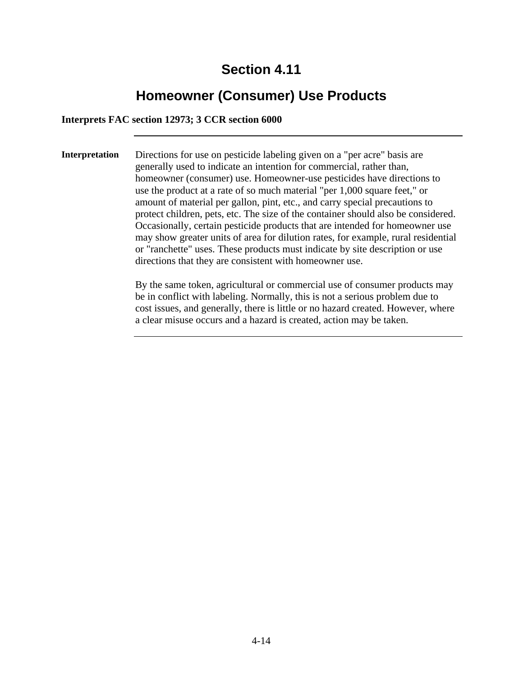# **Homeowner (Consumer) Use Products**

#### **Interprets FAC section 12973; 3 CCR section 6000**

**Interpretation** Directions for use on pesticide labeling given on a "per acre" basis are generally used to indicate an intention for commercial, rather than, homeowner (consumer) use. Homeowner-use pesticides have directions to use the product at a rate of so much material "per 1,000 square feet," or amount of material per gallon, pint, etc., and carry special precautions to protect children, pets, etc. The size of the container should also be considered. Occasionally, certain pesticide products that are intended for homeowner use may show greater units of area for dilution rates, for example, rural residential or "ranchette" uses. These products must indicate by site description or use directions that they are consistent with homeowner use.

> By the same token, agricultural or commercial use of consumer products may be in conflict with labeling. Normally, this is not a serious problem due to cost issues, and generally, there is little or no hazard created. However, where a clear misuse occurs and a hazard is created, action may be taken.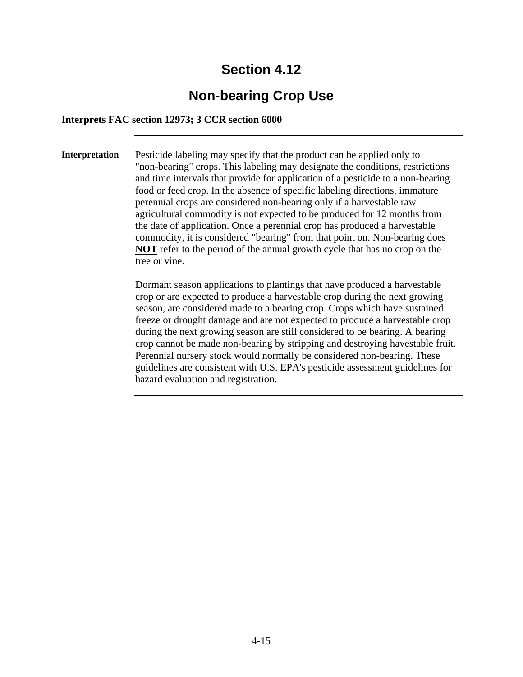# **Non-bearing Crop Use**

#### **Interprets FAC section 12973; 3 CCR section 6000**

**Interpretation** Pesticide labeling may specify that the product can be applied only to "non-bearing" crops. This labeling may designate the conditions, restrictions and time intervals that provide for application of a pesticide to a non-bearing food or feed crop. In the absence of specific labeling directions, immature perennial crops are considered non-bearing only if a harvestable raw agricultural commodity is not expected to be produced for 12 months from the date of application. Once a perennial crop has produced a harvestable commodity, it is considered "bearing" from that point on. Non-bearing does **NOT** refer to the period of the annual growth cycle that has no crop on the tree or vine.

> Dormant season applications to plantings that have produced a harvestable crop or are expected to produce a harvestable crop during the next growing season, are considered made to a bearing crop. Crops which have sustained freeze or drought damage and are not expected to produce a harvestable crop during the next growing season are still considered to be bearing. A bearing crop cannot be made non-bearing by stripping and destroying havestable fruit. Perennial nursery stock would normally be considered non-bearing. These guidelines are consistent with U.S. EPA's pesticide assessment guidelines for hazard evaluation and registration.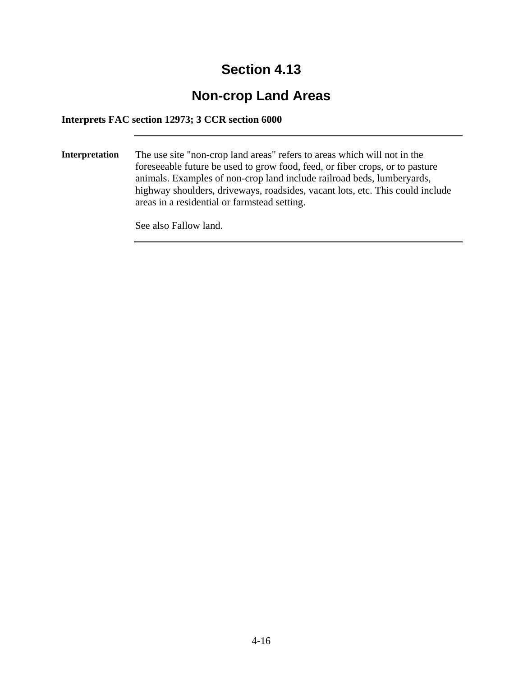# **Non-crop Land Areas**

**Interprets FAC section 12973; 3 CCR section 6000** 

**Interpretation** The use site "non-crop land areas" refers to areas which will not in the foreseeable future be used to grow food, feed, or fiber crops, or to pasture animals. Examples of non-crop land include railroad beds, lumberyards, highway shoulders, driveways, roadsides, vacant lots, etc. This could include areas in a residential or farmstead setting.

See also Fallow land.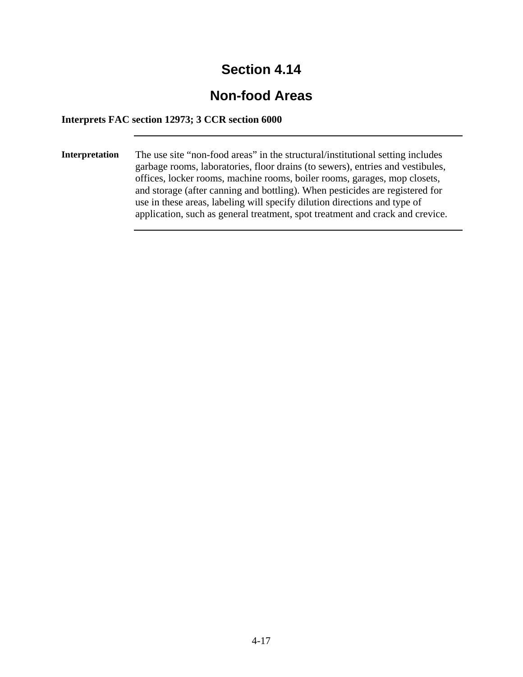# **Non-food Areas**

**Interprets FAC section 12973; 3 CCR section 6000** 

**Interpretation** The use site "non-food areas" in the structural/institutional setting includes garbage rooms, laboratories, floor drains (to sewers), entries and vestibules, offices, locker rooms, machine rooms, boiler rooms, garages, mop closets, and storage (after canning and bottling). When pesticides are registered for use in these areas, labeling will specify dilution directions and type of application, such as general treatment, spot treatment and crack and crevice.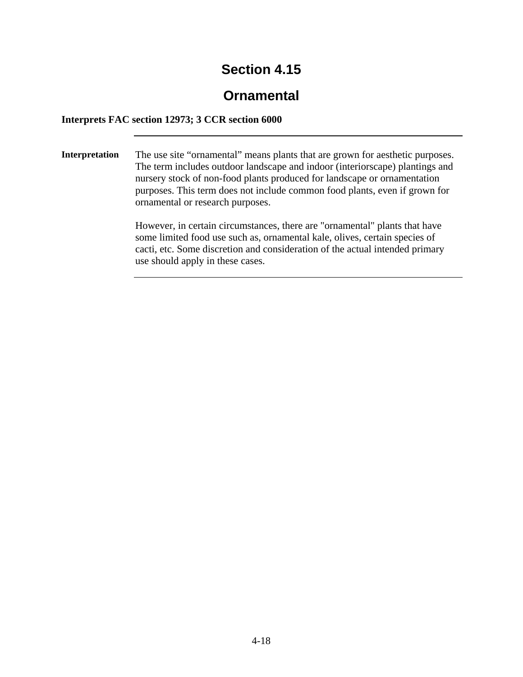# **Ornamental**

### **Interprets FAC section 12973; 3 CCR section 6000**

**Interpretation** The use site "ornamental" means plants that are grown for aesthetic purposes. The term includes outdoor landscape and indoor (interiorscape) plantings and nursery stock of non-food plants produced for landscape or ornamentation purposes. This term does not include common food plants, even if grown for ornamental or research purposes.

> However, in certain circumstances, there are "ornamental" plants that have some limited food use such as, ornamental kale, olives, certain species of cacti, etc. Some discretion and consideration of the actual intended primary use should apply in these cases.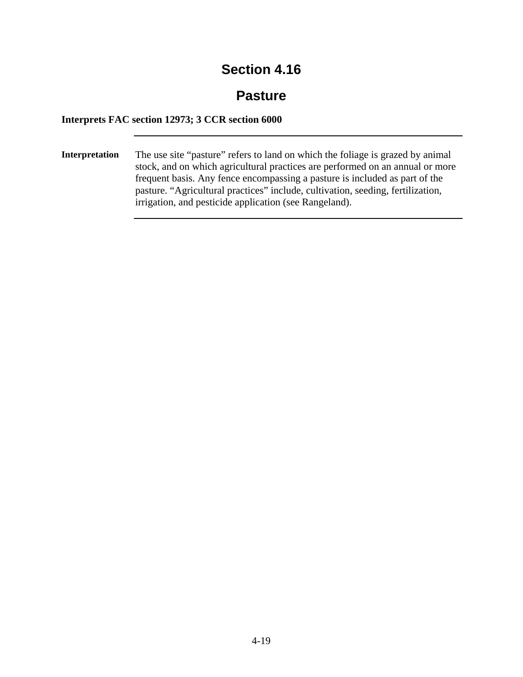### **Pasture**

#### **Interprets FAC section 12973; 3 CCR section 6000**

**Interpretation** The use site "pasture" refers to land on which the foliage is grazed by animal stock, and on which agricultural practices are performed on an annual or more frequent basis. Any fence encompassing a pasture is included as part of the pasture. "Agricultural practices" include, cultivation, seeding, fertilization, irrigation, and pesticide application (see Rangeland).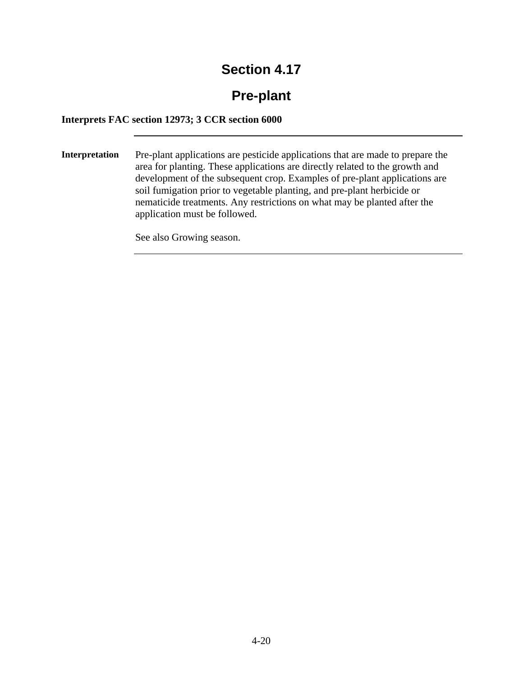# **Pre-plant**

#### **Interprets FAC section 12973; 3 CCR section 6000**

**Interpretation** Pre-plant applications are pesticide applications that are made to prepare the area for planting. These applications are directly related to the growth and development of the subsequent crop. Examples of pre-plant applications are soil fumigation prior to vegetable planting, and pre-plant herbicide or nematicide treatments. Any restrictions on what may be planted after the application must be followed.

See also Growing season.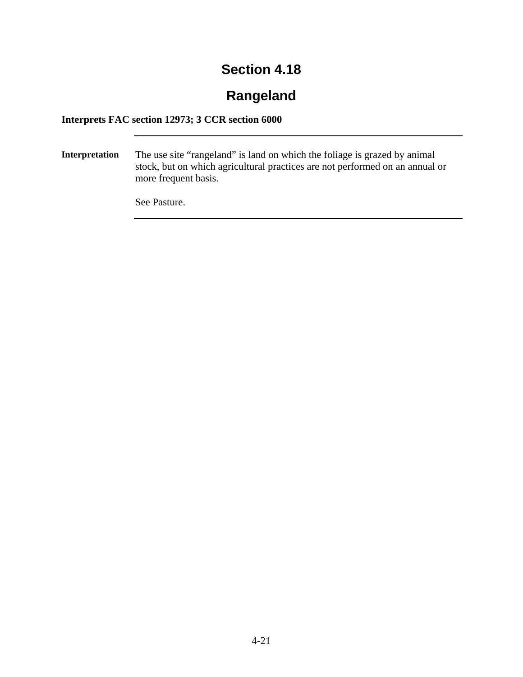# **Rangeland**

### **Interprets FAC section 12973; 3 CCR section 6000**

**Interpretation** The use site "rangeland" is land on which the foliage is grazed by animal stock, but on which agricultural practices are not performed on an annual or more frequent basis.

See Pasture.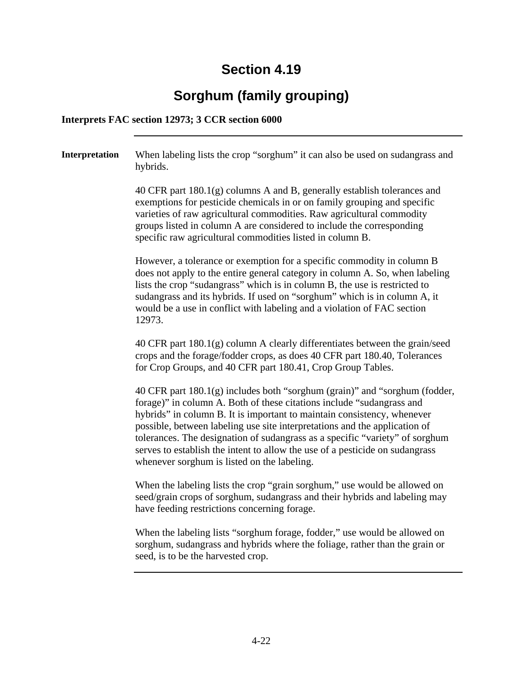# **Sorghum (family grouping)**

#### **Interprets FAC section 12973; 3 CCR section 6000**

**Interpretation** When labeling lists the crop "sorghum" it can also be used on sudangrass and hybrids. 40 CFR part 180.1(g) columns A and B, generally establish tolerances and exemptions for pesticide chemicals in or on family grouping and specific varieties of raw agricultural commodities. Raw agricultural commodity groups listed in column A are considered to include the corresponding specific raw agricultural commodities listed in column B. However, a tolerance or exemption for a specific commodity in column B does not apply to the entire general category in column A. So, when labeling lists the crop "sudangrass" which is in column B, the use is restricted to sudangrass and its hybrids. If used on "sorghum" which is in column A, it would be a use in conflict with labeling and a violation of FAC section 12973. 40 CFR part 180.1(g) column A clearly differentiates between the grain/seed crops and the forage/fodder crops, as does 40 CFR part 180.40, Tolerances for Crop Groups, and 40 CFR part 180.41, Crop Group Tables. 40 CFR part 180.1(g) includes both "sorghum (grain)" and "sorghum (fodder, forage)" in column A. Both of these citations include "sudangrass and hybrids" in column B. It is important to maintain consistency, whenever possible, between labeling use site interpretations and the application of tolerances. The designation of sudangrass as a specific "variety" of sorghum serves to establish the intent to allow the use of a pesticide on sudangrass whenever sorghum is listed on the labeling. When the labeling lists the crop "grain sorghum," use would be allowed on seed/grain crops of sorghum, sudangrass and their hybrids and labeling may have feeding restrictions concerning forage.

> When the labeling lists "sorghum forage, fodder," use would be allowed on sorghum, sudangrass and hybrids where the foliage, rather than the grain or seed, is to be the harvested crop.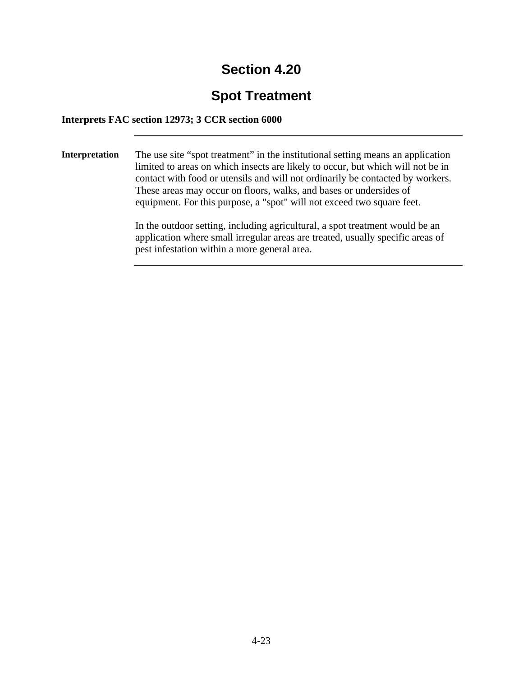# **Spot Treatment**

**Interprets FAC section 12973; 3 CCR section 6000** 

**Interpretation** The use site "spot treatment" in the institutional setting means an application limited to areas on which insects are likely to occur, but which will not be in contact with food or utensils and will not ordinarily be contacted by workers. These areas may occur on floors, walks, and bases or undersides of equipment. For this purpose, a "spot" will not exceed two square feet.

> In the outdoor setting, including agricultural, a spot treatment would be an application where small irregular areas are treated, usually specific areas of pest infestation within a more general area.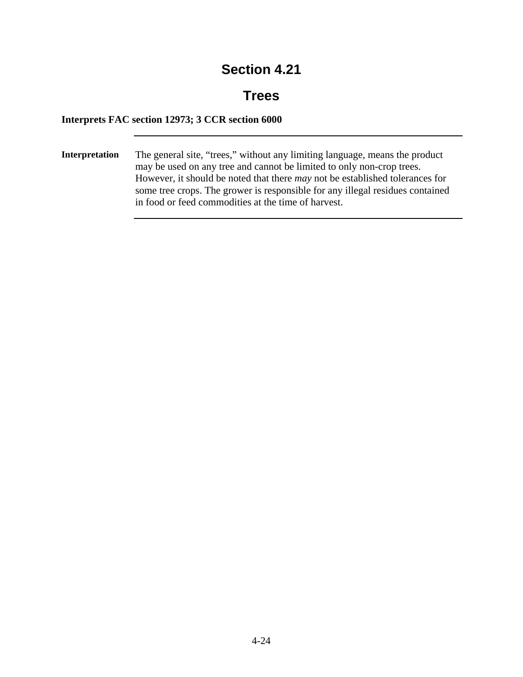### **Trees**

### **Interprets FAC section 12973; 3 CCR section 6000**

**Interpretation** The general site, "trees," without any limiting language, means the product may be used on any tree and cannot be limited to only non-crop trees. However, it should be noted that there *may* not be established tolerances for some tree crops. The grower is responsible for any illegal residues contained in food or feed commodities at the time of harvest.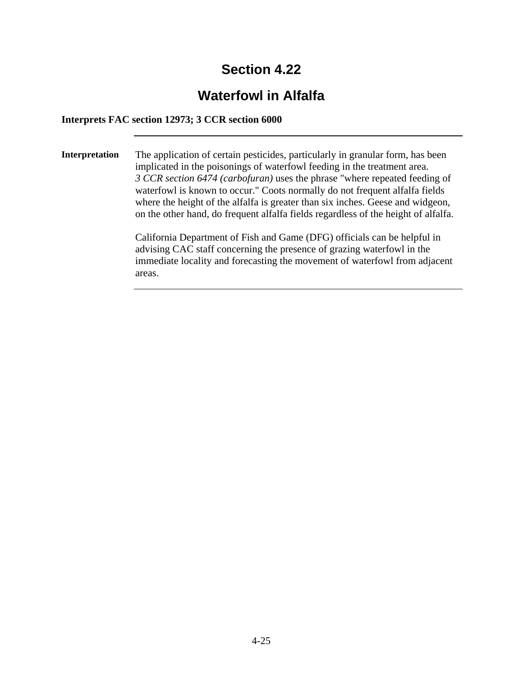# **Waterfowl in Alfalfa**

#### **Interprets FAC section 12973; 3 CCR section 6000**

**Interpretation** The application of certain pesticides, particularly in granular form, has been implicated in the poisonings of waterfowl feeding in the treatment area. *3 CCR section 6474 (carbofuran)* uses the phrase "where repeated feeding of waterfowl is known to occur." Coots normally do not frequent alfalfa fields where the height of the alfalfa is greater than six inches. Geese and widgeon, on the other hand, do frequent alfalfa fields regardless of the height of alfalfa.

> California Department of Fish and Game (DFG) officials can be helpful in advising CAC staff concerning the presence of grazing waterfowl in the immediate locality and forecasting the movement of waterfowl from adjacent areas.